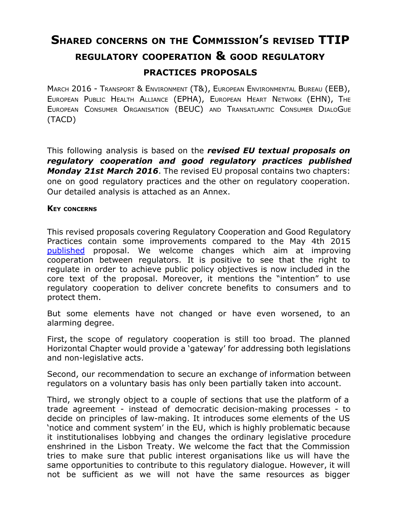## **SHARED CONCERNS ON THE COMMISSION'S REVISED TTIP REGULATORY COOPERATION & GOOD REGULATORY PRACTICES PROPOSALS**

MARCH 2016 - TRANSPORT & ENVIRONMENT (T&), EUROPEAN ENVIRONMENTAL BUREAU (EEB), EUROPEAN PUBLIC HEALTH ALLIANCE (EPHA), EUROPEAN HEART NETWORK (EHN), THE EUROPEAN CONSUMER ORGANISATION (BEUC) AND TRANSATLANTIC CONSUMER DIALOGUE (TACD)

This following analysis is based on the *revised EU textual proposals on regulatory cooperation and good regulatory practices published Monday 21st March 2016*. The revised EU proposal contains two chapters: one on good regulatory practices and the other on regulatory cooperation. Our detailed analysis is attached as an Annex.

## **KEY CONCERNS**

This revised proposals covering Regulatory Cooperation and Good Regulatory Practices contain some improvements compared to the May 4th 2015 [published](http://trade.ec.europa.eu/doclib/docs/2015/april/tradoc_153403.pdf) proposal. We welcome changes which aim at improving cooperation between regulators. It is positive to see that the right to regulate in order to achieve public policy objectives is now included in the core text of the proposal. Moreover, it mentions the "intention" to use regulatory cooperation to deliver concrete benefits to consumers and to protect them.

But some elements have not changed or have even worsened, to an alarming degree.

First, the scope of regulatory cooperation is still too broad. The planned Horizontal Chapter would provide a 'gateway' for addressing both legislations and non-legislative acts.

Second, our recommendation to secure an exchange of information between regulators on a voluntary basis has only been partially taken into account.

Third, we strongly object to a couple of sections that use the platform of a trade agreement - instead of democratic decision-making processes - to decide on principles of law-making. It introduces some elements of the US 'notice and comment system' in the EU, which is highly problematic because it institutionalises lobbying and changes the ordinary legislative procedure enshrined in the Lisbon Treaty. We welcome the fact that the Commission tries to make sure that public interest organisations like us will have the same opportunities to contribute to this regulatory dialogue. However, it will not be sufficient as we will not have the same resources as bigger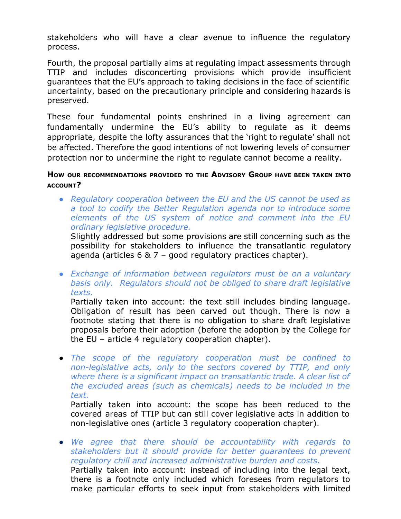stakeholders who will have a clear avenue to influence the regulatory process.

Fourth, the proposal partially aims at regulating impact assessments through TTIP and includes disconcerting provisions which provide insufficient guarantees that the EU's approach to taking decisions in the face of scientific uncertainty, based on the precautionary principle and considering hazards is preserved.

These four fundamental points enshrined in a living agreement can fundamentally undermine the EU's ability to regulate as it deems appropriate, despite the lofty assurances that the 'right to regulate' shall not be affected. Therefore the good intentions of not lowering levels of consumer protection nor to undermine the right to regulate cannot become a reality.

## **HOW OUR RECOMMENDATIONS PROVIDED TO THE ADVISORY GROUP HAVE BEEN TAKEN INTO ACCOUNT?**

*● Regulatory cooperation between the EU and the US cannot be used as a tool to codify the Better Regulation agenda nor to introduce some elements of the US system of notice and comment into the EU ordinary legislative procedure.*

Slightly addressed but some provisions are still concerning such as the possibility for stakeholders to influence the transatlantic regulatory agenda (articles 6 & 7 – good regulatory practices chapter).

*● Exchange of information between regulators must be on a voluntary basis only. Regulators should not be obliged to share draft legislative texts.*

Partially taken into account: the text still includes binding language. Obligation of result has been carved out though. There is now a footnote stating that there is no obligation to share draft legislative proposals before their adoption (before the adoption by the College for the EU – article 4 regulatory cooperation chapter).

*● The scope of the regulatory cooperation must be confined to nonlegislative acts, only to the sectors covered by TTIP, and only where there is a significant impact on transatlantic trade. A clear list of the excluded areas (such as chemicals) needs to be included in the text.*

Partially taken into account: the scope has been reduced to the covered areas of TTIP but can still cover legislative acts in addition to non-legislative ones (article 3 regulatory cooperation chapter).

*● We agree that there should be accountability with regards to stakeholders but it should provide for better guarantees to prevent regulatory chill and increased administrative burden and costs.* Partially taken into account: instead of including into the legal text, there is a footnote only included which foresees from regulators to make particular efforts to seek input from stakeholders with limited